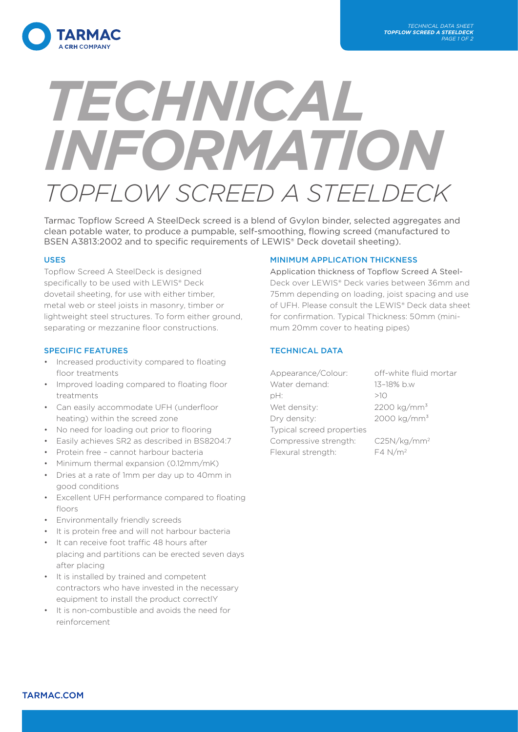

# *TECHNICAL INFORMATION TOPFLOW SCREED A STEELDECK*

Tarmac Topflow Screed A SteelDeck screed is a blend of Gvylon binder, selected aggregates and clean potable water, to produce a pumpable, self-smoothing, flowing screed (manufactured to BSEN A3813:2002 and to specific requirements of LEWIS® Deck dovetail sheeting).

## USES

Topflow Screed A SteelDeck is designed specifically to be used with LEWIS® Deck dovetail sheeting, for use with either timber, metal web or steel joists in masonry, timber or lightweight steel structures. To form either ground, separating or mezzanine floor constructions.

## SPECIFIC FEATURES

- Increased productivity compared to floating floor treatments
- Improved loading compared to floating floor treatments
- Can easily accommodate UFH (underfloor heating) within the screed zone
- No need for loading out prior to flooring
- Easily achieves SR2 as described in BS8204:7
- Protein free cannot harbour bacteria
- Minimum thermal expansion (0.12mm/mK)
- Dries at a rate of 1mm per day up to 40mm in good conditions
- Excellent UFH performance compared to floating floors
- Environmentally friendly screeds
- It is protein free and will not harbour bacteria
- It can receive foot traffic 48 hours after placing and partitions can be erected seven days after placing
- It is installed by trained and competent contractors who have invested in the necessary equipment to install the product correctlY
- It is non-combustible and avoids the need for reinforcement

## MINIMUM APPLICATION THICKNESS

Application thickness of Topflow Screed A Steel-Deck over LEWIS® Deck varies between 36mm and 75mm depending on loading, joist spacing and use of UFH. Please consult the LEWIS® Deck data sheet for confirmation. Typical Thickness: 50mm (minimum 20mm cover to heating pipes)

# TECHNICAL DATA

| Appearance/Colour:        | off-white fluid mortar  |
|---------------------------|-------------------------|
| Water demand:             | 13-18% b.w              |
| pH:                       | >10                     |
| Wet density:              | 2200 kg/mm <sup>3</sup> |
| Dry density:              | 2000 kg/mm <sup>3</sup> |
| Typical screed properties |                         |
| Compressive strength:     | C25N/kg/mm <sup>2</sup> |
| Flexural strength:        | $F4 N/m^2$              |
|                           |                         |